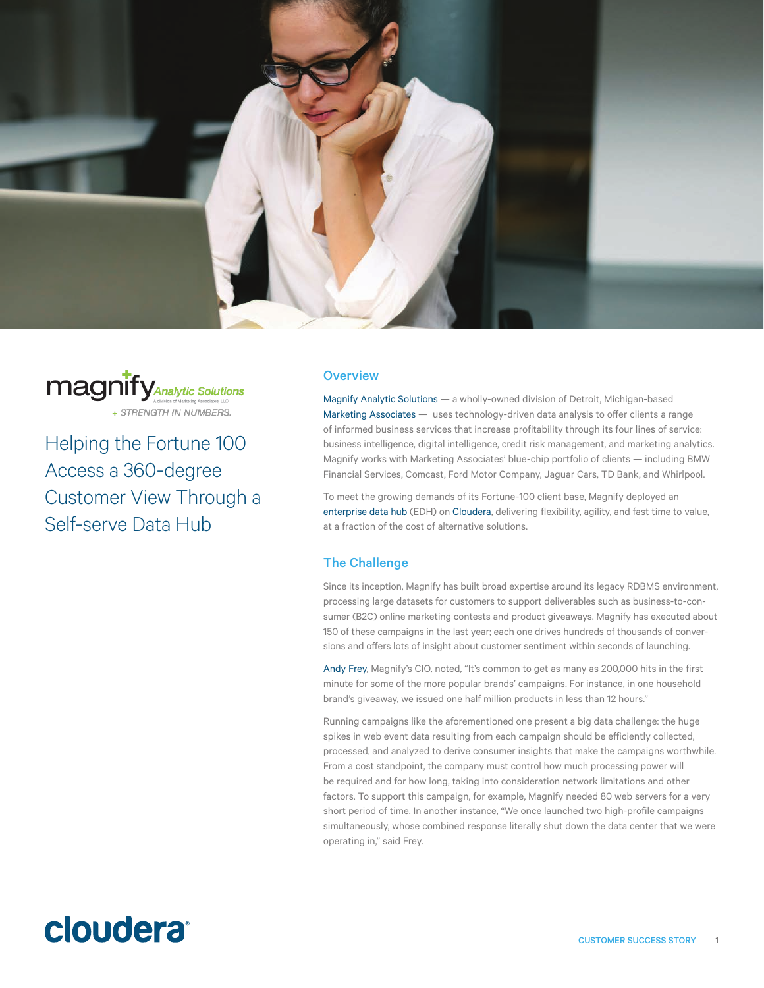



Helping the Fortune 100 Access a 360-degree Customer View Through a Self-serve Data Hub

### **Overview**

[Magnify Analytic Solutions](http://www.magnifyas.com/) — a wholly-owned division of Detroit, Michigan-based [Marketing Associates](http://www.marketingassociates.com/) — uses technology-driven data analysis to offer clients a range of informed business services that increase profitability through its four lines of service: business intelligence, digital intelligence, credit risk management, and marketing analytics. Magnify works with Marketing Associates' blue-chip portfolio of clients — including BMW Financial Services, Comcast, Ford Motor Company, Jaguar Cars, TD Bank, and Whirlpool.

To meet the growing demands of its Fortune-100 client base, Magnify deployed an [enterprise data hub](http://www.cloudera.com/content/cloudera/en/products-and-services.html) (EDH) on [Cloudera,](http://www.cloudera.com) delivering flexibility, agility, and fast time to value, at a fraction of the cost of alternative solutions.

## The Challenge

Since its inception, Magnify has built broad expertise around its legacy RDBMS environment, processing large datasets for customers to support deliverables such as business-to-consumer (B2C) online marketing contests and product giveaways. Magnify has executed about 150 of these campaigns in the last year; each one drives hundreds of thousands of conversions and offers lots of insight about customer sentiment within seconds of launching.

[Andy Frey,](http:/https://www.marketingassociates.com/leadership.html) Magnify's CIO, noted, "It's common to get as many as 200,000 hits in the first minute for some of the more popular brands' campaigns. For instance, in one household brand's giveaway, we issued one half million products in less than 12 hours."

Running campaigns like the aforementioned one present a [big data](http://www.cloudera.com/content/cloudera/en/about/hadoop-and-big-data.html) challenge: the huge spikes in web event data resulting from each campaign should be efficiently collected, processed, and analyzed to derive consumer insights that make the campaigns worthwhile. From a cost standpoint, the company must control how much processing power will be required and for how long, taking into consideration network limitations and other factors. To support this campaign, for example, Magnify needed 80 web servers for a very short period of time. In another instance, "We once launched two high-profile campaigns simultaneously, whose combined response literally shut down the data center that we were operating in," said Frey.

# cloudera<sup>®</sup>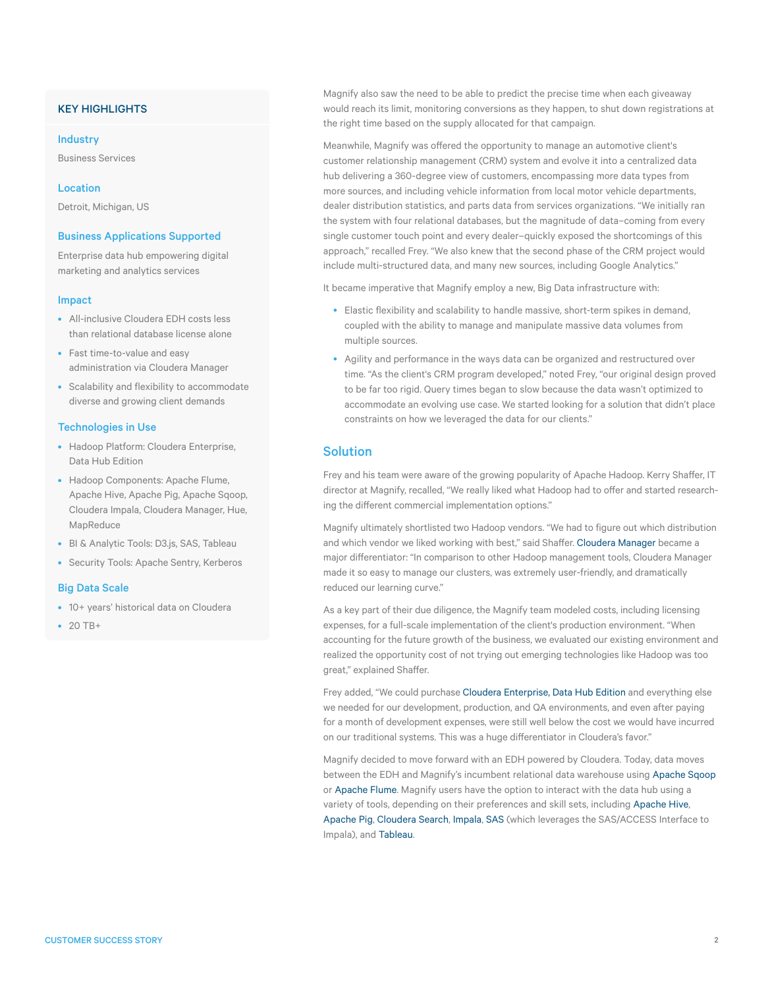## KEY HIGHLIGHTS

#### Industry

Business Services

Location

Detroit, Michigan, US

## Business Applications Supported

Enterprise data hub empowering digital marketing and analytics services

#### Impact

- All-inclusive Cloudera EDH costs less than relational database license alone
- Fast time-to-value and easy administration via Cloudera Manager
- Scalability and flexibility to accommodate diverse and growing client demands

#### Technologies in Use

- Hadoop Platform: Cloudera Enterprise, Data Hub Edition
- Hadoop Components: Apache Flume, Apache Hive, Apache Pig, Apache Sqoop, Cloudera Impala, Cloudera Manager, Hue, MapReduce
- BI & Analytic Tools: D3.js, SAS, Tableau
- Security Tools: Apache Sentry, Kerberos

#### Big Data Scale

• 10+ years' historical data on Cloudera

 $• 20 T B+$ 

Magnify also saw the need to be able to predict the precise time when each giveaway would reach its limit, monitoring conversions as they happen, to shut down registrations at the right time based on the supply allocated for that campaign.

Meanwhile, Magnify was offered the opportunity to manage an automotive client's customer relationship management (CRM) system and evolve it into a centralized data hub delivering a 360-degree view of customers, encompassing more data types from more sources, and including vehicle information from local motor vehicle departments, dealer distribution statistics, and parts data from services organizations. "We initially ran the system with four relational databases, but the magnitude of data–coming from every single customer touch point and every dealer–quickly exposed the shortcomings of this approach," recalled Frey. "We also knew that the second phase of the CRM project would include multi-structured data, and many new sources, including Google Analytics."

It became imperative that Magnify employ a new, Big Data infrastructure with:

- Elastic flexibility and scalability to handle massive, short-term spikes in demand, coupled with the ability to manage and manipulate massive data volumes from multiple sources.
- Agility and performance in the ways data can be organized and restructured over time. "As the client's CRM program developed," noted Frey, "our original design proved to be far too rigid. Query times began to slow because the data wasn't optimized to accommodate an evolving use case. We started looking for a solution that didn't place constraints on how we leveraged the data for our clients."

## **Solution**

Frey and his team were aware of the growing popularity of [Apache Hadoop](http://www.cloudera.com/content/cloudera/en/about/hadoop-and-big-data.html). Kerry Shaffer, IT director at Magnify, recalled, "We really liked what Hadoop had to offer and started researching the different commercial implementation options."

Magnify ultimately shortlisted two Hadoop vendors. "We had to figure out which distribution and which vendor we liked working with best," said Shaffer. [Cloudera Manager](http://www.cloudera.com/content/cloudera/en/products-and-services/cloudera-enterprise/cloudera-manager.html) became a major differentiator: "In comparison to other Hadoop management tools, Cloudera Manager made it so easy to manage our clusters, was extremely user-friendly, and dramatically reduced our learning curve."

As a key part of their due diligence, the Magnify team modeled costs, including licensing expenses, for a full-scale implementation of the client's production environment. "When accounting for the future growth of the business, we evaluated our existing environment and realized the opportunity cost of not trying out emerging technologies like Hadoop was too great," explained Shaffer.

Frey added, "We could purchase [Cloudera Enterprise, Data Hub Edition](http://www.cloudera.com/content/cloudera/en/products-and-services/cloudera-enterprise.html) and everything else we needed for our development, production, and QA environments, and even after paying for a month of development expenses, were still well below the cost we would have incurred on our traditional systems. This was a huge differentiator in Cloudera's favor."

Magnify decided to move forward with an EDH powered by Cloudera. Today, data moves between the EDH and Magnify's incumbent relational data warehouse using [Apache Sqoop](http://www.cloudera.com/content/cloudera/en/documentation/Glossary/Cloudera-Glossary.html) or [Apache Flume](http://www.cloudera.com/content/cloudera/en/documentation/Glossary/Cloudera-Glossary.html). Magnify users have the option to interact with the data hub using a variety of tools, depending on their preferences and skill sets, including [Apache Hive](http://www.cloudera.com/content/cloudera/en/documentation/Glossary/Cloudera-Glossary.html), [Apache Pig,](http://www.cloudera.com/content/cloudera/en/documentation/Glossary/Cloudera-Glossary.html) [Cloudera Search,](http://www.cloudera.com/content/cloudera/en/products-and-services/cdh/search.html) [Impala](http://www.cloudera.com/content/cloudera/en/products-and-services/cdh/impala.html), [SAS](http://www.cloudera.com/content/cloudera/en/solutions/partner/SAS.html) (which leverages the SAS/ACCESS Interface to Impala), and [Tableau.](http://www.cloudera.com/content/cloudera/en/solutions/partner/Tableau.html)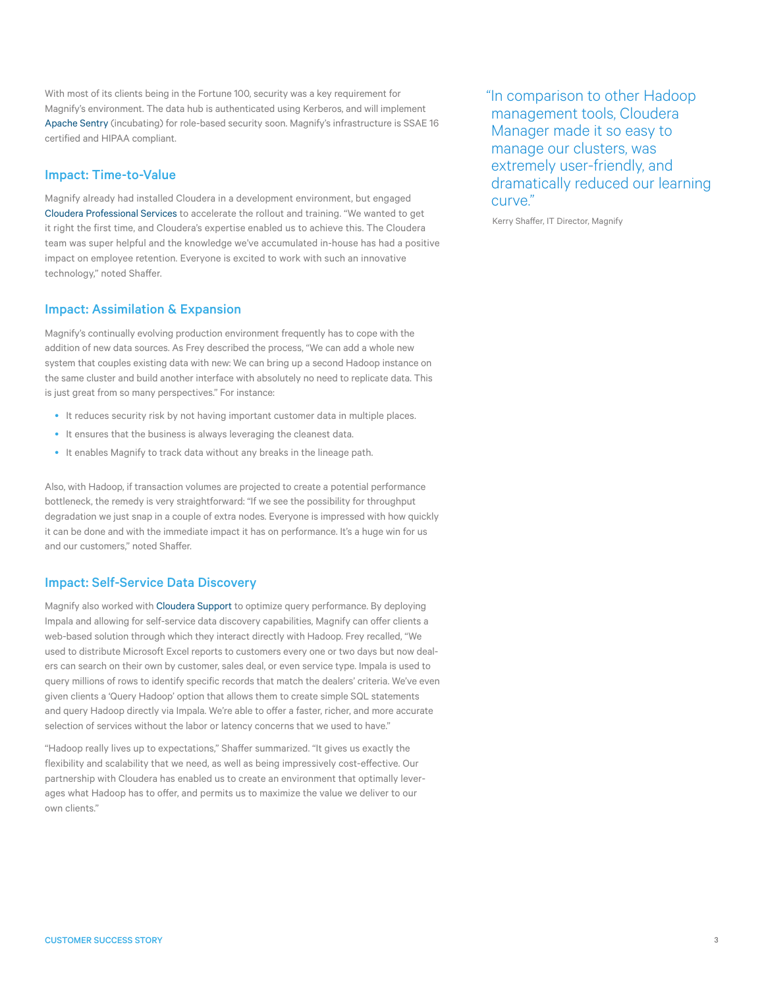With most of its clients being in the Fortune 100, security was a key requirement for Magnify's environment. The data hub is authenticated using Kerberos, and will implement [Apache Sentry](http://www.cloudera.com/content/cloudera/en/products-and-services/cdh/sentry.html) (incubating) for role-based security soon. Magnify's infrastructure is SSAE 16 certified and HIPAA compliant.

## Impact: Time-to-Value

Magnify already had installed Cloudera in a development environment, but engaged [Cloudera Professional Services](http://www.cloudera.com/content/cloudera/en/products-and-services/professional-services.html) to accelerate the rollout and training. "We wanted to get it right the first time, and Cloudera's expertise enabled us to achieve this. The Cloudera team was super helpful and the knowledge we've accumulated in-house has had a positive impact on employee retention. Everyone is excited to work with such an innovative technology," noted Shaffer.

## Impact: Assimilation & Expansion

Magnify's continually evolving production environment frequently has to cope with the addition of new data sources. As Frey described the process, "We can add a whole new system that couples existing data with new: We can bring up a second Hadoop instance on the same cluster and build another interface with absolutely no need to replicate data. This is just great from so many perspectives." For instance:

- It reduces security risk by not having important customer data in multiple places.
- It ensures that the business is always leveraging the cleanest data.
- It enables Magnify to track data without any breaks in the lineage path.

Also, with Hadoop, if transaction volumes are projected to create a potential performance bottleneck, the remedy is very straightforward: "If we see the possibility for throughput degradation we just snap in a couple of extra nodes. Everyone is impressed with how quickly it can be done and with the immediate impact it has on performance. It's a huge win for us and our customers," noted Shaffer.

## Impact: Self-Service Data Discovery

Magnify also worked with [Cloudera Support](http://www.cloudera.com/content/cloudera/en/products-and-services/cloudera-support.html) to optimize query performance. By deploying Impala and allowing for self-service data discovery capabilities, Magnify can offer clients a web-based solution through which they interact directly with Hadoop. Frey recalled, "We used to distribute Microsoft Excel reports to customers every one or two days but now dealers can search on their own by customer, sales deal, or even service type. Impala is used to query millions of rows to identify specific records that match the dealers' criteria. We've even given clients a 'Query Hadoop' option that allows them to create simple SQL statements and query Hadoop directly via Impala. We're able to offer a faster, richer, and more accurate selection of services without the labor or latency concerns that we used to have."

"Hadoop really lives up to expectations," Shaffer summarized. "It gives us exactly the flexibility and scalability that we need, as well as being impressively cost-effective. Our partnership with Cloudera has enabled us to create an environment that optimally leverages what Hadoop has to offer, and permits us to maximize the value we deliver to our own clients."

"In comparison to other Hadoop management tools, Cloudera Manager made it so easy to manage our clusters, was extremely user-friendly, and dramatically reduced our learning curve."

Kerry Shaffer, IT Director, Magnify